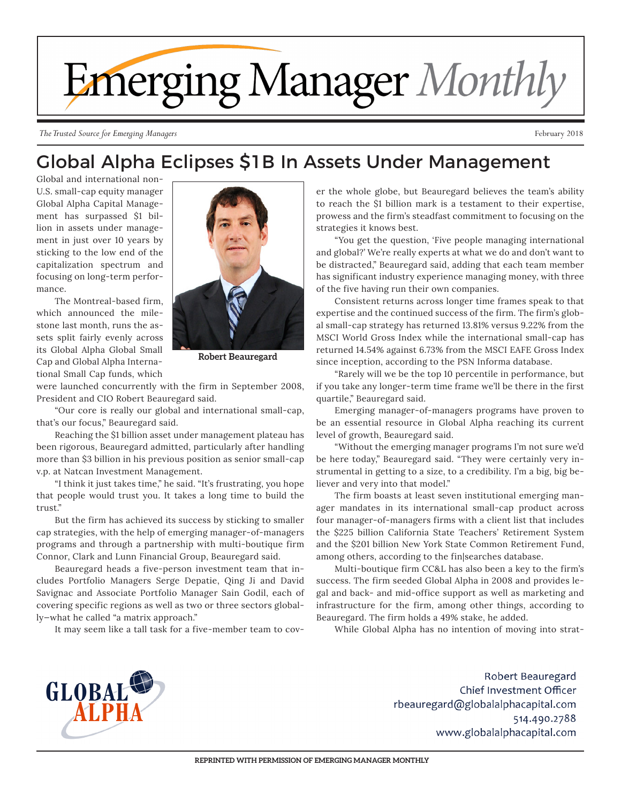

*The Trusted Source for Emerging Managers* February 2018

## Global Alpha Eclipses \$1B In Assets Under Management

Global and international non-U.S. small-cap equity manager Global Alpha Capital Management has surpassed \$1 billion in assets under management in just over 10 years by sticking to the low end of the capitalization spectrum and focusing on long-term performance.

The Montreal-based firm, which announced the milestone last month, runs the assets split fairly evenly across its Global Alpha Global Small Cap and Global Alpha International Small Cap funds, which



**Robert Beauregard**

were launched concurrently with the firm in September 2008, President and CIO Robert Beauregard said.

"Our core is really our global and international small-cap, that's our focus," Beauregard said.

Reaching the \$1 billion asset under management plateau has been rigorous, Beauregard admitted, particularly after handling more than \$3 billion in his previous position as senior small-cap v.p. at Natcan Investment Management.

"I think it just takes time," he said. "It's frustrating, you hope that people would trust you. It takes a long time to build the trust."

But the firm has achieved its success by sticking to smaller cap strategies, with the help of emerging manager-of-managers programs and through a partnership with multi-boutique firm Connor, Clark and Lunn Financial Group, Beauregard said.

Beauregard heads a five-person investment team that includes Portfolio Managers Serge Depatie, Qing Ji and David Savignac and Associate Portfolio Manager Sain Godil, each of covering specific regions as well as two or three sectors globally—what he called "a matrix approach."

It may seem like a tall task for a five-member team to cov-

er the whole globe, but Beauregard believes the team's ability to reach the \$1 billion mark is a testament to their expertise, prowess and the firm's steadfast commitment to focusing on the strategies it knows best.

"You get the question, 'Five people managing international and global?' We're really experts at what we do and don't want to be distracted," Beauregard said, adding that each team member has significant industry experience managing money, with three of the five having run their own companies.

Consistent returns across longer time frames speak to that expertise and the continued success of the firm. The firm's global small-cap strategy has returned 13.81% versus 9.22% from the MSCI World Gross Index while the international small-cap has returned 14.54% against 6.73% from the MSCI EAFE Gross Index since inception, according to the PSN Informa database.

"Rarely will we be the top 10 percentile in performance, but if you take any longer-term time frame we'll be there in the first quartile," Beauregard said.

Emerging manager-of-managers programs have proven to be an essential resource in Global Alpha reaching its current level of growth, Beauregard said.

"Without the emerging manager programs I'm not sure we'd be here today," Beauregard said. "They were certainly very instrumental in getting to a size, to a credibility. I'm a big, big believer and very into that model."

The firm boasts at least seven institutional emerging manager mandates in its international small-cap product across four manager-of-managers firms with a client list that includes the \$225 billion California State Teachers' Retirement System and the \$201 billion New York State Common Retirement Fund, among others, according to the fin|searches database.

Multi-boutique firm CC&L has also been a key to the firm's success. The firm seeded Global Alpha in 2008 and provides legal and back- and mid-office support as well as marketing and infrastructure for the firm, among other things, according to Beauregard. The firm holds a 49% stake, he added.

While Global Alpha has no intention of moving into strat-



Robert Beauregard Chief Investment Officer rbeauregard@globalalphacapital.com 514.490.2788 www.globalalphacapital.com